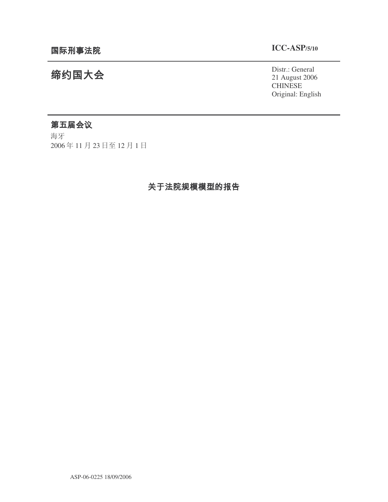### **ICC-ASP/5/10**

Distr.: General 21 August 2006 **CHINESE** Original: English

# 缔约国大会

## 第五届会议

海牙 2006年11月23日至12月1日

## 关于法院规模模型的报告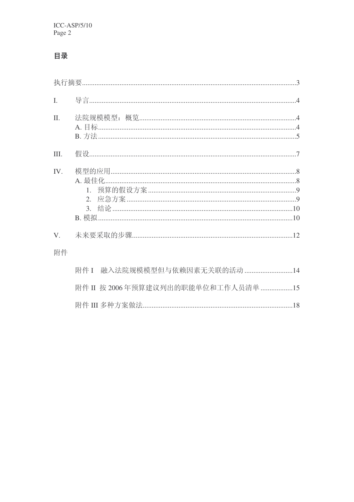## 目录

| L.          |                                    |  |
|-------------|------------------------------------|--|
| II.         |                                    |  |
| III.        |                                    |  |
| IV.         |                                    |  |
| $V_{\cdot}$ |                                    |  |
| 附件          |                                    |  |
|             | 融入法院规模模型但与依赖因素无关联的活动 14<br>附件 I    |  |
|             | 附件 II 按 2006年预算建议列出的职能单位和工作人员清单 15 |  |
|             |                                    |  |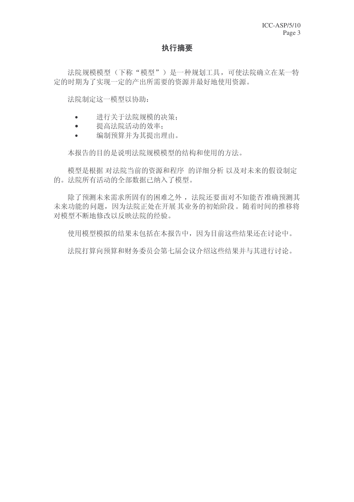## 执行摘要

法院规模模型(下称"模型")是一种规划工具,可使法院确立在某一特 定的时期为了实现一定的产出所需要的资源并最好地使用资源。

法院制定这一模型以协助:

- 讲行关于法院规模的决策:
- 提高法院活动的效率;
- 编制预算并为其提出理由。

本报告的目的是说明法院规模模型的结构和使用的方法。

模型是根据 对法院当前的资源和程序 的详细分析 以及对未来的假设制定 的。法院所有活动的全部数据已纳入了模型。

除了预测未来需求所固有的困难之外, 法院还要面对不知能否准确预测其 未来功能的问题,因为法院正处在开展其业务的初始阶段。随着时间的推移将 对模型不断地修改以反映法院的经验。

使用模型模拟的结果未包括在本报告中,因为目前这些结果还在讨论中。

法院打算向预算和财务委员会第七届会议介绍这些结果并与其进行讨论。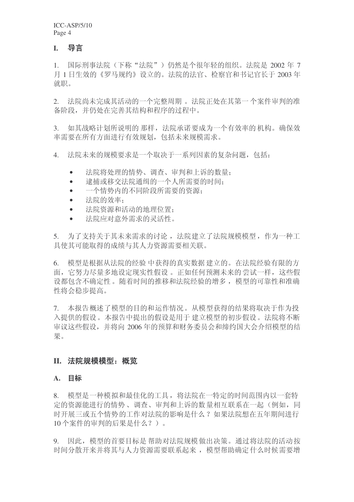#### **I.** ᇐ㿔

 $1.$  国际刑事法院(下称"法院")仍然是个很年轻的组织。法院是 2002年7 月1日生效的《罗马规约》设立的。法院的法官、检察官和书记官长于2003年 就职。

2. 法院尚未完成其活动的一个完整周期。法院正处在其第一个案件审判的准 备阶段,并仍处在完善其结构和程序的过程中。

3. 如其战略计划所说明的那样, 法院承诺要成为一个有效率的机构。确保效 率需要在所有方面进行有效规划, 包括未来规模需求。

4. 法院未来的规模要求是一个取决于一系列因素的复杂问题, 包括:

- 法院将处理的情势、调查、审判和上诉的数量:
- 逮捕或移交法院通缉的一个人所需要的时间:
- 一个情势内的不同阶段所需要的资源:
- 法院的效率:
- 法院资源和活动的地理位置:
- 法院应对意外需求的灵活性。

5. 为了支持关于其未来需求的讨论, 法院建立了法院规模模型, 作为一种工 具使其可能取得的成绩与其人力资源需要相关联。

6. 模型是根据从法院的经验 中获得的真实数据 建立的。在法院经验有限的方 面, 它努力尽量多地设定现实性假设。正如任何预测未来的尝试一样, 这些假 设都包含不确定性。随着时间的推移和法院经验的增多, 模型的可靠性和准确 性将会稳步提高。

7. 本报告概述了模型的目的和运作情况。从模型获得的结果将取决于作为投 入提供的假设。本报告中提出的假设是用于建立模型的初步假设。法院将不断 审议这些假设,并将向 2006年的预算和财务委员会和缔约国大会介绍模型的结 果。

#### Ⅱ. 法院规模模型: 概览

#### A. 目标

8. 模型是一种模拟和最佳化的工具,将法院在一特定的时间范围内以一套特 定的资源能进行的情势、调查、审判和上诉的数量相互联系在一起(例如,同 时开展三或五个情势的工作对法院的影响是什么?如果法院想在五年期间进行 10 个案件的审判的后果是什么?)。

9. 因此, 模型的首要目标是 帮助对法院规模做出决策。通过将法院的活动按 时间分散开来并将其与人力资源需要联系起来, 模型帮助确定什么时候需要增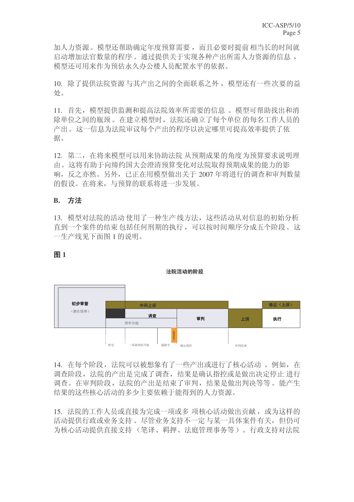加人力资源。模型还帮助确定年度预算需要,而且必要时提前相当长的时间就 启动增加法官数量的程序。通过提供关于实现各种产出所需人力资源的信息, 模型还可用来作为预估永久办公楼人员配置水平的依据。

10. 除了提供法院资源与其产出之间的全面联系之外,模型还有一些次要的益 处。

11. 首先, 模型提供监测和提高法院效率所需要的信息。模型可帮助找出和消 除单位之间的瓶颈。在建立模型时, 法院还确立了每个单位的每名工作人员的 产出。这一信息为法院审议每个产出的程序以决定哪里可提高效率提供了依 据。

12. 第二, 在将来模型可以用来协助法院 从预期成果的角度为预算要求说明理 由。这将有助于向缔约国大会澄清预算变化对法院取得预期成果的能力的影 响,反之亦然。另外,已正在用模型做出关于 2007 年将进行的调杳和审判数量 的假设。在将来,与预算的联系将进一步发展。

#### **B.** 方法

13. 模型对法院的活动 使用了一种生产线方法,这些活动从对信息的初始分析 直到一个案件的结束 包括任何刑期的执行, 可以按时间顺序分成五个阶段。这 一生产线见下面图 1 的说明。

#### 图1

调査 审判 上诉 执行<br> 审判 上诉 执行 <mark>中间上诉</mark> 修正(上诉) 预审分庭 䕀Ѹ ϔ乍䇗ᶹⱘᓔྟ 䘂ᤩҸ ⹂䅸ᣛ 初步宙杳 (潜在情势) 审判结束 E S T

14. 在每个阶段, 法院可以被想象有了一些产出或进行了核心活动。例如, 在 调查阶段, 法院的产出是完成了调查, 结果是确认指控或是做出决定停止 进行 调杳。在审判阶段, 法院的产出是结束了审判, 结果是做出判决等等。能产生 结果的这些核心活动的多少主要依赖于能得到的人力资源。

15. 法院的工作人员或直接为完成一项或多项核心活动做出贡献, 或为这样的 活动提供行政或业务支持 。尽管业务支持不一定 与某一具体案件有关, 但仍可 为核心活动提供直接支持 (笔译、羁押、法庭管理事务等)。行政支持对法院

法院活动的阶段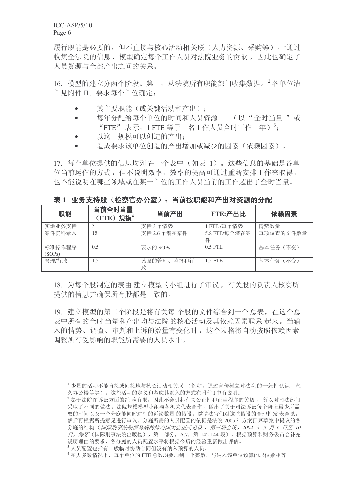ICC-ASP/5/10 Page 6

履行职能是必要的, 但不直接与核心活动相关联(人力资源、采购等)。<sup>1</sup>通过 收集全法院的信息, 模型确定每个工作人员对法院业务的贡献, 因此也确定了 人员资源与全部产出之间的关系。

16. 模型的建立分两个阶段。第一, 从法院所有职能部门收集数据。<sup>2</sup> 各单位清 单见附件 II。要求每个单位确定:

- 其主要职能(或关键活动和产出):
- 每年分配给每个单位的时间和人员资源 (以"全时当量"或 "FTE"表示,  $1$  FTE 等于一名工作人员全时工作一年)<sup>3</sup>;
- 以这一规模可以创造的产出:
- 造成要求该单位创造的产出增加或减少的因素(依赖因素)。

17. 每个单位提供的信息均列 在一个表中(如表 1)。这些信息的基础是各单 位当前运作的方式, 但不说明效率, 效率的提高可通过重新安排工作来取得, 也不能说明在哪些领域或在某一单位的工作人员当前的工作超出了全时当量。

| 职能               | 当前全时当量<br>(FTE) 规模 <sup>4</sup> | 当前产出            | FTE:产出比            | 依赖因素      |
|------------------|---------------------------------|-----------------|--------------------|-----------|
| 实地业务支持           |                                 | 支持 3 个情势        | 1 FTE /每个情势        | 情势数量      |
| 案件资料录入           | 15                              | 支持 2.6 个潜在案件    | 5.8 FTE/每个潜在案<br>件 | 每项调查的文件数量 |
| 标准操作程序<br>(SOPs) | 0.5                             | 要求的 SOPs        | $0.5$ FTE          | 基本任务 (不变) |
| 管理/行政            | 1.5                             | 该股的管理、监督和行<br>政 | 1.5 FTE            | 基本任务 (不变) |

夷1 业冬支持股(检察官办公室)• 当前按职能和产出对资源的分配

18. 为每个股制定的表由建立模型的小组进行了审议, 有关股的负责人核实所 提供的信息并确保所有股都是一致的。

19. 建立模型的第二个阶段是将有关每个股的文件综合到一个总表, 在这个总 表中所有的全时当量和产出均与法院的核心活动及其依赖因素联系起来。当输 入的情势、调查、审判和上诉的数量有变化时, 这个表格将自动按照依赖因素 调整所有受影响的职能所需要的人员水平。

<sup>&</sup>lt;sup>1</sup> 少量的活动不能直接或间接地与核心活动相关联 (例如, 通过宣传树立对法院 的一般性认识, 永 久办公楼等等)。这些活动的定义和考虑其融入的方式在附件I中有说明。

<sup>&</sup>lt;sup>2</sup> 鉴于法院在诉讼方面的经验有限,因此不会引起有关公正性和正当程序的关切,所以对司法部门 采取了不同的做法。法院规模模型小组与各机关代表合作,做出了关于司法诉讼每个阶段最少所需 要的时间以及一个分庭能同时进行的诉讼数量的假设。邀请法官们对这些假设的合理性发表意见, 然后再根据所提意见进行审议。分庭所需的人员配置的依据是法院 2005 年方案预算草案中提议的各 分庭的结构(国际刑事法院罗马规约缔约国大会正式记录, 第三届会议, 2004年9月6日至10 日, 海牙(国际刑事法院出版物), 第二部分, A.7, 第 142-144 段)。根据预算和财务委员会补充 说明理由的要求,各分庭的人员配置水平将根据今后的经验重新做出评估。

<sup>3</sup> 人员配置包括有一般临时协助合同但没有纳入预算的人员。

 $4\pi$ 大多数情况下, 每个单位的 FTE 总数均要加到一个整数, 与纳入该单位预算的职位数相等。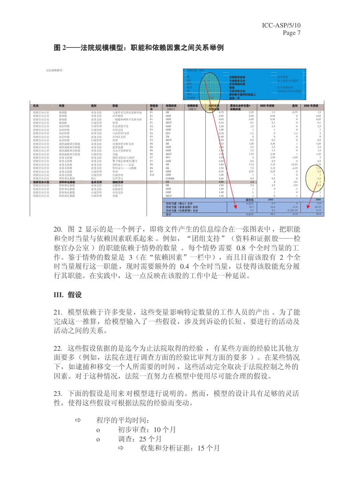## 图 2——法院规模模型: 职能和依赖因素之间关系举例

| 法院规模模型           |                  |              |                |                      |                         | 依赖因素(DF)          |              |                  |                |                      |                     |
|------------------|------------------|--------------|----------------|----------------------|-------------------------|-------------------|--------------|------------------|----------------|----------------------|---------------------|
|                  |                  |              |                |                      |                         | SR.               |              | 与情势有关的           |                | 情势数量                 |                     |
|                  |                  |              |                |                      |                         | <b>INV</b>        |              | 与调查有关的           |                | 处于调查中的案件             |                     |
|                  |                  |              |                |                      |                         | ODF               |              | 其他依赖因素           |                |                      |                     |
|                  |                  |              |                |                      |                         | <b>MGT</b><br>TR. |              | 管理<br>与审判有关的     |                | 没有依赖因素<br>同时进行的审判数量  |                     |
|                  |                  |              |                |                      |                         | <b>WPT</b>        |              | 审判每个案件时的证人       |                |                      |                     |
|                  |                  |              |                |                      |                         | <b>COMM</b>       | <b>COB</b>   | 通信/年             |                |                      |                     |
|                  |                  |              |                |                      |                         |                   |              |                  |                |                      |                     |
| 机关               | 科室               | 类别           | 职能             | 职能参<br>考             | 依赖因素<br>(DF1)           | 依赖因素<br>(DF2)     | 公时当业<br>依赖国索 | 最佳化全时当量*<br>依赖因素 | 2005 年资源       | 差别                   | 2006年资源             |
| 检察官办公室           | 新闻股              | 业务支持         | 与案件有关的交流和外延    | F1                   | <b>SR</b>               |                   | 0.75         | 2.25             | 1.5            | $-0.75$              | 1.5                 |
| 检察官办公室           | 新闻股              | 业务支持         | 对外联络           | F1                   | ODF                     |                   | 0.95         | 0.95             | 0.95           | $\theta$             | 0.95                |
| 检察官办公室           | 新闻股              | 业务支持         | 一般媒体网络开发和分析    | F1                   | ODF                     |                   | 0.45         | 0,45             | 0,45           | $\Omega$             | 0.45                |
| 检察官办公室           | 新闻股              | 行政管理         | 管理             | F1                   | <b>MGT</b>              |                   | 0.10         | 0,1              | 0,1            | $\Omega$             | 0,1                 |
| 检察官办公室           | 知识库股             | 行政管理         | 信息系统开发         | F2                   | ODF                     |                   | 2,50         | 2,5              | 2.5            | $\Omega$             | 2.5                 |
| 检察官办公室           | 知识库股             | 行政管理         | 应用支持           | F <sub>3</sub>       | ODF                     |                   | 1,00         |                  |                | $\Omega$             |                     |
| 检察官办公室           | 知识库股             | 业务支持         | 司法程序/支持        | F <sub>4</sub>       | <b>INV</b>              |                   | 0,30         | 1,2              | $\theta$       | $-1,2$               | $\overline{c}$      |
| 检察官办公室           | 知识库股             | 业务支持         | 审判室支持          | F5                   | <b>TR</b>               |                   | 1.00         | $\theta$         | $\theta$       | $\Omega$             | $\mathbf{0}$<br>0.5 |
| 检察官办公室<br>检察官办公室 | 知识库股<br>调查战略和分析股 | 行政管理<br>业务支持 | 管理<br>对调查的分析支持 | F2<br>F <sub>6</sub> | <b>MGT</b><br><b>SR</b> |                   | 0.50<br>A15  | 0.5<br>3,45      | 0.5<br>4,45    | $\Omega$<br>-1       | 3,45                |
| 检察官办公室           | 调查战略和分析股         | 业务支持         | 犯罪监测           | F <sub>6</sub>       | ODF                     |                   | 250          | 2,5              | 2,5            | $\mathbf{0}$         | 2.5                 |
| 检察官办公室           | 调查战略和分析股         | 业务支持         | 方法开发和研究        | F <sub>6</sub>       | ODF                     |                   | 1.10         | 1.5              | 1.5            | $\Omega$             | 1.5                 |
| 检察官办公室           | 调查战略和分析股         | 行政管理         | 其他             | F <sub>6</sub>       | <b>MGT</b>              |                   | 1.5          | 1,55             | 2,55           |                      | 1,55                |
| 检察官办公室           | 业务支持股            | 业务支持         | 团组支持/证人保护      | F7                   | <b>INV</b>              |                   | 1,00         | $\overline{4}$   | 2,95           | $-1,05$              | 3                   |
| 检察官办公室           | 业务支持股            | 业务支持         | 警卫规定和规章/遵守     | F7                   | ODF                     |                   | 0,50         | 0,5              | 0.5            | $\Omega$             | 0.5                 |
| 检察官办公室           | 业务支持股            | 业务支持         | 资料录入---记录      | F8                   | <b>SR</b>               |                   | 5,80         | 17,4             | 3,15           | $-14,25$             | 8.15                |
| 检察官办公室           | 业务支持股            | 业务支持         | 资料录入 -- 元数据    | F8                   | <b>SR</b>               |                   | 2,50         | 7,5              | 3,15           | $-4.35$              | 7.15                |
| 检察官办公室           | 业务支持股            | 行政管理         | 管理             | F9                   | ODF                     |                   | 0.25         | 0,25             | 0,25           | $\theta$             | 0.2                 |
| 检察官办公室           | 业务支持股            | 行政管理         | 行政管理           | F10                  | ODF                     |                   | 1,00         | $\mathbf{1}$     |                | $\mathbf{0}$         | т                   |
| 检察官办公室           | 资料和证据股           | 核心           | 信件登记           |                      | COMM                    |                   | 0.00         | 0.5              | 0,5            | $\mathbf{0}$         | 0.5                 |
| 检察官办公室           | 资料和证据股           | 业务支持         | 团组支持           |                      | <b>SR</b>               |                   | 0,80         | 2,4              | $\overline{2}$ | $-0.4$               |                     |
| 检察官办公室           | 资料和证据股           | 业务支持         | 证据登记           |                      | SR                      |                   | 1,80         | 5.4              | 4,5            | $-0.9$               |                     |
| 检察官办公室           | 资料和证据股           | 业务支持         | 证据保管           |                      | ODF<br>ODF              |                   | 1,00         |                  | $\theta$       | $-1$                 |                     |
| 检察官办公室<br>检察官办公室 | 资料和证据股<br>资料和证据股 | 行政管理<br>行政管理 | 应用支持<br>其他     |                      | <b>MGT</b>              |                   | 1,00<br>1.00 |                  | $\Omega$       | $\mathbf{0}$<br>$-1$ |                     |
|                  |                  |              |                |                      |                         |                   |              | 最佳化              | 2005           |                      | 2006                |
|                  |                  |              |                |                      | 全时当量(核心)合计              |                   |              | 未提供              | 0.5            | $\overline{0}$       | 0.5                 |
|                  |                  |              |                |                      | 全时当量(业务支持)合计            |                   |              | 58,2             | 36,4           | $-21.8$              | 49.25               |
|                  |                  |              |                |                      | 全时当量(行政管理)合计            |                   |              | 9.2              | 9.2            | $-2.22E-16$          | 9,15                |
|                  |                  |              |                |                      | 合计                      |                   |              | 未提供              | 46.1           | $-21.8$              | 58.9                |

20. 图 2 显示的是一个例子, 即将文件产生的信息综合在一张图表中, 把职能 和全时当量与依赖因素联系起来。例如, "团组支持"(资料和证据股——检 察官办公室)的职能依赖于情势的数量。每个情势需要 0.8 个全时当量的工 作。鉴于情势的数量是 3 (在"依赖因素"一栏中),而且目前该股有 2 个全 时当量履行这一职能,现时需要额外的 0.4 个全时当量, 以使得该股能充分履 行其职能。在实践中,这一点反映在该股的工作中是一种延误。

### **III.** 假设

21. 模型依赖于许多变量, 这些变量影响特定数量的工作人员的产出。为了能 完成这一推算,给模型输入了一些假设,涉及到诉讼的长短、要进行的活动及 活动之间的关系。

22. 这些假设依据的是迄今为止法院取得的经验, 有某些方面的经验比其他方 面要多(例如, 法院在进行调查方面的经验比审判方面的要多)。在某些情况 下, 如逮捕和移交一个人所需要的时间, 这些活动完全取决于法院控制之外的 因素。对于这种情况, 法院一直努力在模型中使用尽可能合理的假设。

23. 下面的假设是用来对模型进行说明的。然而,模型的设计具有足够的灵活 性, 使得这些假设可根据法院的经验而变动。

- ☆ 程序的平均时间:
	- o 初步审查: 10 个月
	- o 调查: 25 个月
		- ☆ 收集和分析证据: 15 个月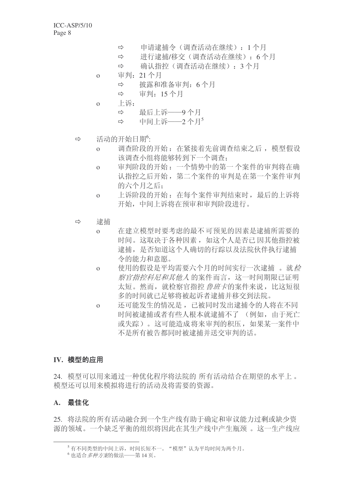- ⇒ 申请逮捕令(调查活动在继续): 1个月
- ☆ 讲行逮捕/移交(调查活动在继续): 6个月
- ⇒ 确认指控(调查活动在继续): 3个月
- o 审判: 21 个月
	- ☆ 披露和准备审判: 6个月
	- ☆ 审判: 15 个月
- o 上诉:
	- ⇨ 最后上诉——9个月
	- ☆ 中间上诉——2个月5
- ☆ 活动的开始日期6:
	- o 调杳阶段的开始: 在紧接着先前调杳结束之后, 模型假设 该调查小组将能够转到下一个调查:
	- o 审判阶段的开始: 一个情势中的第一个案件的审判将在确 认指控之后开始, 第二个案件的审判是在第一个案件审判 的六个月之后:
	- o 上诉阶段的开始: 在每个案件审判结束时, 最后的上诉将 开始, 中间上诉将在预审和审判阶段进行。
- □ 逮捕
	- o 在建立模型时要考虑的最不可预见的因素是逮捕所需要的 时间。这取决于各种因素, 如这个人是否已因其他指控被 逮捕, 是否知道这个人确切的行踪以及法院伙伴执行逮捕 今的能力和意愿。
	- o 使用的假设是平均需要六个月的时间实行一次逮捕 。就*检* 察官指控科尼和其他人的案件而言, 这一时间期限已证明 太短。然而, 就检察官指控 *鲁班卡*的案件来说, 比这短很 多的时间就已足够将被起诉者逮捕并移交到法院。
	- o 还可能发生的情况是, 已被同时发出逮捕令的人将在不同 时间被逮捕或者有些人根本就逮捕不了 (例如, 由于死亡 或失踪)。这可能造成将来审判的积压,如果某一案件中 不是所有被告都同时被逮捕并送交审判的话。

### **IV. 模型的应用**

24. 模型可以用来通过一种优化程序将法院的 所有活动结合在期望的水平上。 模型还可以用来模拟将讲行的活动及将需要的资源。

### A. 最佳化

25. 将法院的所有活动融合到一个生产线有助于确定和审议能力过剩或缺少资 源的领域。一个缺乏平衡的组织将因此在其生产线中产生瓶颈 。这一生产线应

<sup>5</sup> 有不同类型的中间上诉, 时间长短不一。"模型"认为平均时间为两个月。

 $^6$ 也适合*多种方案*的做法——第14页。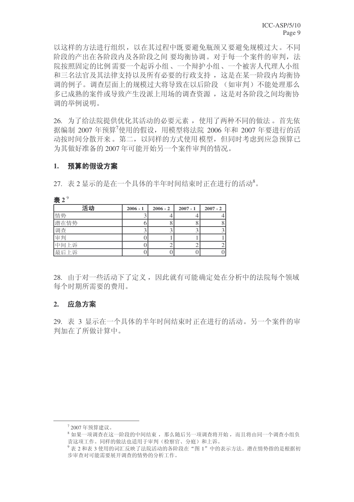以这样的方法进行组织, 以在其过程中既要避免瓶颈又要避免规模过大。不同 阶段的产出在各阶段内及各阶段之间 要均衡协调。对于每一个案件的审判, 法 院按照固定的比例需要一个起诉小组、一个辩护小组、一个被害人代理人小组 和三名法官及其法律支持以及所有必要的行政支持, 这是在某一阶段内均衡协 调的例子。调查层面上的规模过大将导致在以后阶段 (如审判) 不能处理那么 多已成熟的案件或导致产生没派上用场的调查资源, 这是对各阶段之间均衡协 调的举例说明。

26. 为了给法院提供优化其活动的必要元素, 使用了两种不同的做法。首先依 据编制 2007 年预算<sup>7</sup>使用的假设, 用模型将法院 2006 年和 2007 年要进行的活 动按时间分散开来。第二,以同样的方式使用模型,但同时考虑到应急预算已 为其做好准备的2007年可能开始另一个案件审判的情况。

#### 1. 预算的假设方案

 $27.$  表  $2\sqrt{2}$  显示的是在一个具体的半年时间结束时正在进行的活动 $^8$ 。

| 活动   | $2006 - 1$ | $2006 - 2$ | $2007 - 1$ | $2007 - 2$ |
|------|------------|------------|------------|------------|
| 情势   |            |            |            |            |
| 潜在情势 |            |            |            |            |
| 调查   |            |            |            |            |
| 审判   |            |            |            |            |
| 中间上诉 |            |            |            |            |
| 最后上诉 |            |            |            |            |

28. 由于对一些活动下了定义, 因此就有可能确定处在分析中的法院每个领域 每个时期所需要的费用。

#### 2. 应急方案

29. 表 3 显示在一个具体的半年时间结束时正在进行的活动。另一个案件的审 判加在了所做计算中。

 $^7$  2007 年预算建议。

 $^8$ 如果一项调查在这一阶段的中间结束, 那么随后另一项调查将开始, 而且将由同一个调查小组负 责这项工作。同样的做法也适用于审判(检察官、分庭)和上诉。

<sup>9</sup> 表 2 和表 3 使用的词汇反映了法院活动的各阶段在"图 1"中的表示方法。潜在情势指的是根据初 步宙杳对可能需要展开调杳的情势的分析工作。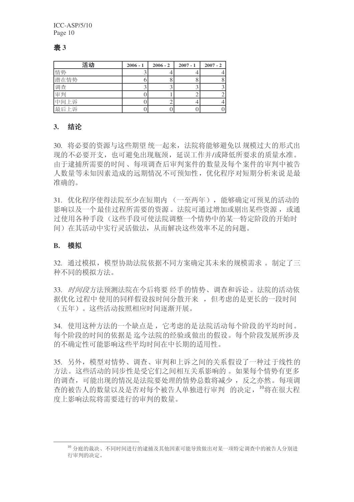㸼 **3**

| 活动   | $2006 - 1$ | $2006 - 2$ | $2007 - 1$ | $2007 - 2$ |
|------|------------|------------|------------|------------|
| 情势   |            |            |            |            |
| 潜在情势 |            |            |            |            |
| 调查   |            |            |            |            |
| 审判   |            |            |            |            |
| 中间上诉 |            |            |            |            |
| 最后上诉 |            |            |            |            |

### **3.** 㒧䆎

30. 将必要的资源与这些期望统一起来, 法院将能够避免以 规模过大的形式出 现的不必要开支, 也可避免出现瓶颈, 延误工作并/或降低所要求的质量水准。 由于逮捕所需要的时间、每项调杳后审判案件的数量及每个案件的审判中被告 人数量等未知因素造成的远期情况不可预知性, 优化程序对短期分析来说是最 准确的。

31. 优化程序使得法院至少在短期内 (一至两年), 能够确定可预见的活动的 影响以及一个最佳过程所需要的资源。法院可通过增加或剔出某些资源, 或通 讨使用各种手段(这些手段可使法院调整一个情势中的某一特定阶段的开始时 间) 在其活动中实行灵活做法, 从而解决这些效率不足的问题。

#### **B.** 模拟

32. 通过模拟, 模型协助法院依据不同方案确定其未来的规模需求 。制定了三 种不同的模拟方法。

33. 时间段方法预测法院在今后将要 经手的情势、调查和诉讼。法院的活动依 据优化过程中 使用的同样假设按时间分散开来, 但考虑的是更长的一段时间 (五年)。这些活动按照相应时间逐渐开展。

34. 使用这种方法的一个缺点是, 它考虑的是法院活动每个阶段的平均时间。 每个阶段的时间的依据是 迄今法院的经验或做出的假设。每个阶段发展所涉及 的不确定性可能影响这些平均时间在中长期的适用性。

35. 另外, 模型对情势、调查、审判和上诉之间的关系假设了一种过于线性的 方法。这些活动的同步性是受它们之间相互关系影响的。如果每个情势有更多 的调查,可能出现的情况是法院要处理的情势总数将减少,反之亦然。每项调 杳的被告人的数量以及是否对每个被告人单独进行审判 的决定, <sup>10</sup>将在很大程 度上影响法院将需要进行的审判的数量。

<sup>10</sup> 分庭的裁决、不同时间进行的逮捕及其他因素可能导致做出对某一项特定调查中的被告人分别进 行宙判的决定。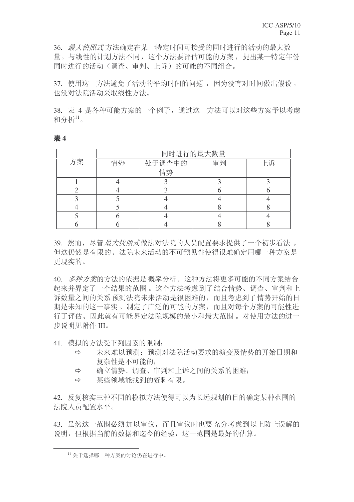36. 最大快照式方法确定在某一特定时间可接受的同时进行的活动的最大数 量。与线性的计划方法不同, 这个方法要评估可能的方案, 提出某一特定年份 同时进行的活动(调查、审判、上诉)的可能的不同组合。

37. 使用这一方法避免了活动的平均时间的问题,因为没有对时间做出假设, 也没对法院活动采取线性方法。

38. 表 4 是各种可能方案的一个例子, 通过这一方法可以对这些方案予以考虑 和分析 $11$ 。

| ۰.<br>M.<br>$\sim$<br>×. |  |  |
|--------------------------|--|--|
|--------------------------|--|--|

|    |    |        | 同时进行的最大数量 |    |
|----|----|--------|-----------|----|
| 方案 | 情势 | 处于调查中的 | 审判        | 上诉 |
|    |    | 情势     |           |    |
|    |    |        |           |    |
|    |    |        |           |    |
|    |    |        |           |    |
|    |    |        |           |    |
|    |    |        |           |    |
|    |    |        |           |    |

39. 然而,尽管*最大快照式*做法对法院的人员配置要求提供了一个初步看法, 但这仍然是有限的。法院未来活动的不可预见性使得很难确定用哪一种方案是 更现实的。

40. 多种方案的方法的依据是概率分析。这种方法将更多可能的不同方案结合 起来并界定了一个结果的范围。这个方法考虑到了结合情势、调杳、审判和上 诉数量之间的关系预测法院未来活动是很困难的,而且考虑到了情势开始的日 期是未知的这一事实。制定了广泛的可能的方案,而且对每个方案的可能性进 行了评估。因此就有可能界定法院规模的最小和最大范围。对使用方法的进一 步说明见附件 III。

41. 模拟的方法受下列因素的限制:

- ⇒ 未来难以预测: 预测对法院活动要求的演变及情势的开始日期和 复杂性是不可能的:
- ☆ 确立情势、调杳、审判和上诉之间的关系的困难:
- ☆ 某些领域能找到的资料有限。

42. 反复核实三种不同的模拟方法使得可以为长远规划的目的确定某种范围的 法院人员配置水平。

43. 虽然这一范围必须加以审议,而且审议时也要充分考虑到以上防止误解的 说明, 但根据当前的数据和迄今的经验, 这一范围是最好的估算。

<sup>11</sup> ݇Ѣ䗝ᢽાϔ⾡ᮍḜⱘ䅼䆎ҡ䖯㸠ЁDŽ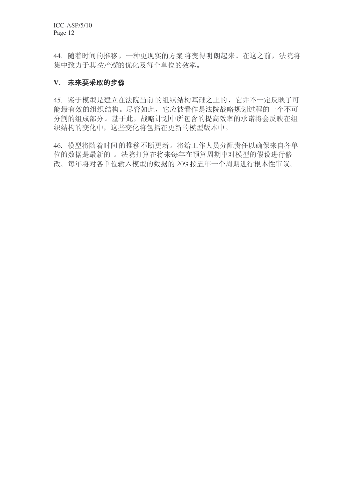ICC-ASP/5/10 Page 12

44. 随着时间的推移, 一种更现实的方案 将变得明朗起来。在这之前, 法院将 集中致力于其生产线的优化及每个单位的效率。

#### V. 未来要采取的步骤

45. 鉴于模型是建立在法院当前的组织结构基础之上的, 它并不一定反映了可 能最有效的组织结构。尽管如此,它应被看作是法院战略规划过程的一个不可 分割的组成部分。基于此,战略计划中所包含的提高效率的承诺将会反映在组 织结构的变化中,这些变化将包括在更新的模型版本中。

46. 模型将随着时间的推移不断更新。将给工作人员分配责任以确保来自各单 位的数据是最新的。法院打算在将来每年在预算周期中对模型的假设进行修 改。每年将对各单位输入模型的数据的20%按五年一个周期进行根本性审议。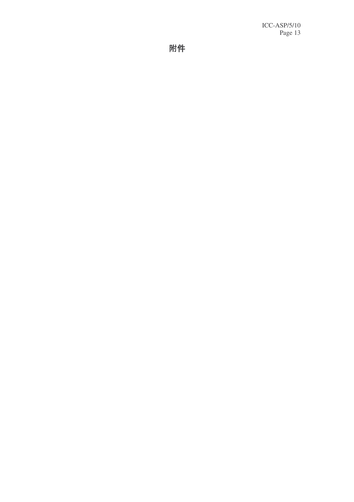附件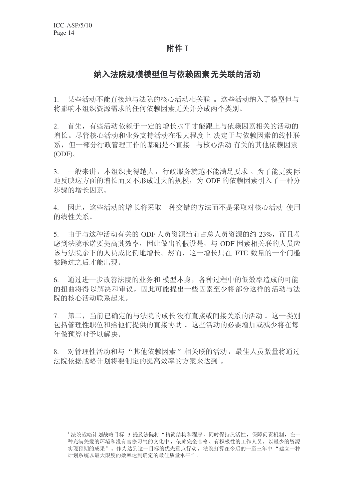## 附件 **I**

## 纳入法院规模模型但与依赖因素无关联的活动

1. 某些活动不能直接地与法院的核心活动相关联 。这些活动纳入了模型但与 将影响本组织资源需求的任何依赖因素无关并分成两个类别。

2. 首先,有些活动依赖于一定的增长水平才能跟上与依赖因素相关的活动的 增长。尽管核心活动和业务支持活动在很大程度上 决定于与依赖因素的线性联 系, 但一部分行政管理工作的基础是不直接 与核心活动 有关的其他依赖因素  $(ODE)$ <sub>o</sub>

3. 一般来讲,本组织变得越大,行政服务就越不能满足要求。为了能更实际 地反映这方面的增长而又不形成过大的规模, 为 ODF 的依赖因素引入了一种分 步骤的增长因素。

4. 因此, 这些活动的增长将采取一种交错的方法而不是采取对核心活动 使用 的线性关系。

5. 由于与这种活动有关的 ODF 人员资源当前占总人员资源的约 23%,而且考 虑到法院承诺要提高其效率,因此做出的假设是,与 ODF 因素相关联的人员应 该与法院余下的人员成比例地增长。然而, 这一增长只在 FTE 数量的一个门槛 被跨过之后才能出现。

6. 通过进一步改善法院的业务和模型本身,各种过程中的低效率造成的可能 的扭曲将得以解决和审议,因此可能提出一些因素至少将部分这样的活动与法 院的核心活动联系起来。

7. 第二,当前已确定的与法院的成长 没有直接或间接关系的活动。这一类别 包括管理性职位和给他们提供的直接协助。这些活动的必要增加或减少将在每 年做预算时予以解决。

8. 对管理性活动和与"其他依赖因素"相关联的活动, 最佳人员数量将通过 法院依据战略计划将要制定的提高效率的方案来达到1。

<sup>1</sup> 法院战略计划战略目标 3 提及法院将"精简结构和程序, 同时保持灵活性, 保障问责机制, 在一 种充满关爱的环境和没有官僚习气的文化中,依赖完全合格、有积极性的工作人员,以最少的资源 实现预期的成果"。作为达到这一目标的优先重点行动, 法院打算在今后的一至三年中"建立一种 计划系统以最大限度的效率计到确定的最佳质量水平"。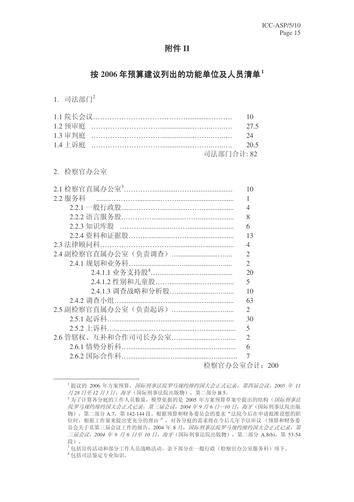## 附件 II

## 按 2006 年预算建议列出的功能单位及人员清单

### $1.$  司法部门 $2$

|  | 1.3 审判庭 …………………………………………………………… 24 |  |
|--|------------------------------------|--|
|  |                                    |  |
|  | 司法部门合计: 82                         |  |

#### 2. 检察官办公室

|                 | 10             |
|-----------------|----------------|
| 2.2 服务科         | 1              |
|                 | 4              |
|                 | 8              |
|                 | 6              |
|                 | 13             |
|                 | 4              |
|                 | $\overline{2}$ |
|                 | $\overline{2}$ |
|                 | 20             |
|                 | 5              |
|                 | 10             |
|                 | 63             |
|                 | $\overline{2}$ |
|                 | 30             |
|                 | 5              |
|                 | $\overline{2}$ |
|                 | 6              |
|                 | 7              |
| エム むごごう エーハーラーム |                |

检察官办公室合计: 200

<sup>1</sup> 提议的 2006 年方案预算, 国际刑事法院罗马规约缔约国大会正式记录, 第四届会议, 2005 年 11 月28 日至12 月3 日, 海牙(国际刑事法院出版物), 第二部分 B.5。

 $^2$  为了计算各分庭的工作人员数量, 模型依据的是 2005 年方案预算草案中提出的结构(国际刑事法 烷罗马规约缔约国大会正式记录, 第三届会议, 2004 年9月6日-10日, 海牙(国际刑事法院出版 物), 第二部分 A.7, 第142-144 段。根据预算和财务委员会的要求"法院今后在申请批准设想的职 位时, 根据工作量来提出更充分的理由", 对各分庭的需求将在今后几年予以审议(预算和财务委 员会关于其第三届会议工作的报告, 2004 年 8 月, 国际刑事法院罗马规约缔约国大会正式记录, 第 三届会议, 2004 年 9 月 6 日至 10 日, 海牙 (国际刑事法院出版物), 第二部分 A.8(b), 第 53-54 段)。

<sup>&</sup>lt;sup>3</sup>包括宣传活动和部分工作人员战略活动。余下部分在一般行政(检察官办公室服务科)项下。

<sup>△</sup>包括司法鉴定专业知识。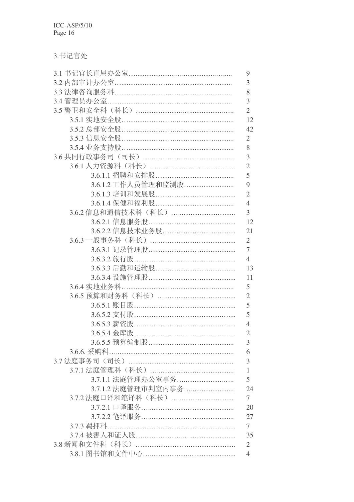## 3.书记官处

| 9                        |  |
|--------------------------|--|
| 3                        |  |
| 8                        |  |
| 3                        |  |
| $\overline{2}$           |  |
| 12                       |  |
| 42                       |  |
| $\overline{2}$           |  |
| 8                        |  |
| $\mathfrak{Z}$           |  |
| $\overline{2}$           |  |
| 5                        |  |
| 3.6.1.2 工作人员管理和监测股<br>9  |  |
| $\mathbf{2}$             |  |
| $\overline{4}$           |  |
| 3                        |  |
| 12                       |  |
| 21                       |  |
| $\overline{2}$           |  |
| $\overline{7}$           |  |
| $\overline{4}$           |  |
| 13                       |  |
| 11                       |  |
| 5                        |  |
| $\mathbf{2}$             |  |
| 5                        |  |
| 5                        |  |
| $\overline{4}$           |  |
| $\overline{2}$           |  |
| 3                        |  |
| 6                        |  |
| 3                        |  |
| 1                        |  |
| 3.7.1.1 法庭管理办公室事务<br>5   |  |
| 3.7.1.2 法庭管理审判室内事务<br>24 |  |
| 7                        |  |
| 20                       |  |
| 27                       |  |
| $\overline{7}$           |  |
| 35                       |  |
| $\overline{2}$           |  |
| $\overline{4}$           |  |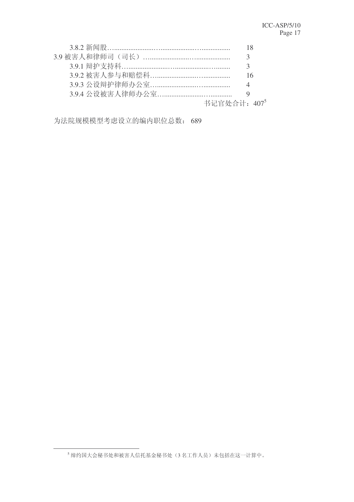| 书记官处合计: 407 <sup>5</sup> |  |
|--------------------------|--|

为法院规模模型考虑设立的编内职位总数: 689

<sup>5</sup> 缔约国大会秘书处和被害人信托基金秘书处(3名工作人员)未包括在这一计算中。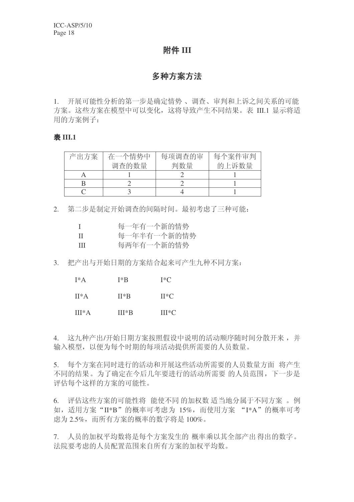## 附件 **III**

## 多种方案方法

1. 开展可能性分析的第一步是确定情势、调查、审判和上诉之间关系的可能 方案。这些方案在模型中可以变化, 这将导致产生不同结果。表 III.1 显示将适 用的方案例子:

#### 㸼 **III.1**

| 产出方案 | 在一个情势中 | 每项调查的审 | 每个案件审判 |
|------|--------|--------|--------|
|      | 调查的数量  | 判数量    | 的上诉数量  |
|      |        |        |        |
|      |        |        |        |
|      |        |        |        |

2. 第二步是制定开始调查的间隔时间。最初考虑了三种可能:

|     | 每一年有一个新的情势  |
|-----|-------------|
| -11 | 每一年半有一个新的情势 |
| Ш   | 每两年有一个新的情势  |

3. 把产出与开始日期的方案结合起来可产生九种不同方案:

| $I^*A$   | I*B     | $1*C$   |  |
|----------|---------|---------|--|
| $II^*A$  | $H^*B$  | $H^*C$  |  |
| $III^*A$ | $III*R$ | $III*C$ |  |

4. 这九种产出/开始日期方案按照假设中说明的活动顺序随时间分散开来, 并 输入模型, 以便为每个时期的每项活动提供所需要的人员数量。

5. 每个方案在同时进行的活动和开展这些活动所需要的人员数量方面 将产生 不同的结果。为了确定在今后几年要进行的活动所需要 的人员范围, 下一步是 评估每个这样的方案的可能性。

6. 评估这些方案的可能性将 能使不同 的加权数 适当地分属于不同方案 。例 如, 适用方案"II\*B"的概率可考虑为 15%, 而使用方案 "I\*A"的概率可考 虑为 2.5%, 而所有方案的概率的数字将是 100%。

7. 人员的加权平均数将是每个方案发生的 概率乘以其全部产出得出的数字。 法院要考虑的人员配置范围来自所有方案的加权平均数。